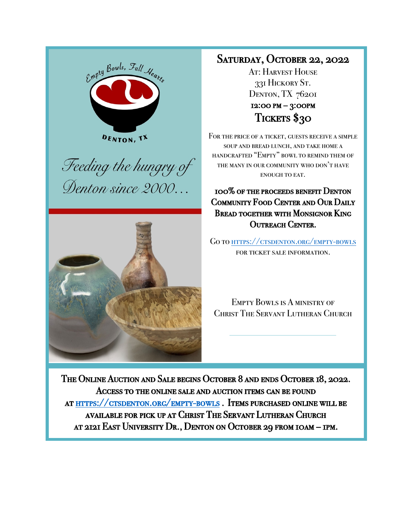





## SATURDAY, OCTOBER 22, 2022

At: HARVEST HOUSE 331 Hickory St. DENTON, TX 76201 12:00 pm – 3:00pm Tickets \$30

FOR THE PRICE OF A TICKET, GUESTS RECEIVE A SIMPLE soup and bread lunch, and take home a handcrafted "Empty" bowl to remind them of the many in our community who don't have enough to eat.

100% of the proceeds benefit Denton COMMUNITY FOOD CENTER AND OUR DAILY Bread together with Monsignor King OUTREACH CENTER.

Go to https://ctsdenton.org/empty-bowls FOR TICKET SALE INFORMATION.

Empty Bowls is A ministry of Christ The Servant Lutheran Church

The Online Auction and Sale begins October 8 and ends October 18, 2022. Access to the online sale and auction items can be found at https://ctsdenton.org/empty-bowls . Items purchased online will be available for pick up at Christ The Servant Lutheran Church at 2121 East University Dr., Denton on October 29 from 10am – 1pm.